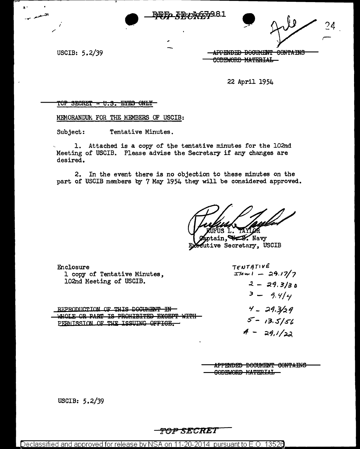USCIB: 5.2/39

APPENDED DOCUMENT CONTAINS CODEWORD MATERIAL

22 April 1954

### TOP SECRET - U.S. EYES ONLY

MEMORANDUM FOR THE MEMBERS OF USCIB:

Subject: Tentative Minutes.

1. Attached is a copy of the tentative minutes for the 102nd Meeting of USCIB. Please advise the Secretary if any changes are desired.

2. In the event there is no objection to these minutes on the part of USCIB members by 7 May 1954 they will be considered approved.

ß. Ъ.

 $\alpha$ tain.  $\blacktriangleright$  Navy cutive Secretary, USCIB

| Enclosure                               | TENTATIVE             |
|-----------------------------------------|-----------------------|
| 1 copy of Tentative Minutes,            | $I$ lem $1 - 29.17/7$ |
| 102nd Meeting of USCIB.                 | $2 - 29.3/30$         |
| REPRODUCTION OF THIS DOCUMENT IN        | $3 - 9.4/4$           |
| שרדע המסמעים הסיחדמדע∩מם מד המוס מח סדו | $4 - 29.3/29$         |
| PERMISSION OF THE ISSUING OFFICE        | $5 - 13.5/56$         |
|                                         | $4 - 29.1/22$         |

APPENDED DOCUMENT CONTAINS **GODEWORD MATERIAL** 

USCIB: 5.2/39

# TOP SECRET

Declassified and approved for release by NSA on 11-20-2014 pursuant to E.O. 13526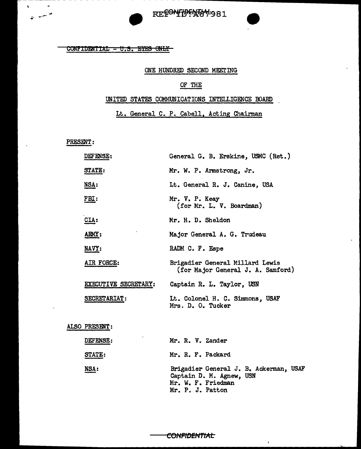

## $CONTIDENTIAL - U.S. EYES ONLY$

#### ONE HUNDRED SECOND MEETING

# OF THE

#### UNITED STATES COMMUNICATIONS INTELLIGENCE BOARD

Lt. General C. P. Cabell, Acting Chairman

PRESENT:

 $\bullet$ 

 $\tilde{\bullet}$   $\tilde{\bullet}$ 

<u>NSA</u>:

| DEFENSE:             | General G. B. Erskine, USMC (Ret.)                                   |
|----------------------|----------------------------------------------------------------------|
| <b>STATE:</b>        | Mr. W. P. Armstrong, Jr.                                             |
| NSA:                 | Lt. General R. J. Canine, USA                                        |
| FBI:                 | Mr. V. P. Keay<br>(for Mr. L. V. Boardman)                           |
| CLA:                 | Mr. H. D. Sheldon                                                    |
| ARMY:                | Major General A. G. Trudeau                                          |
| NAVY:                | RADM C. F. Espe                                                      |
| AIR FORCE:           | Brigadier General Millard Lewis<br>(for Major General J. A. Samford) |
| EXECUTIVE SECRETARY: | Captain R. L. Taylor, USN                                            |
| <b>SECRETARIAT:</b>  | Lt. Colonel H. C. Simmons, USAF<br>Mrs. D. O. Tucker                 |
| ALSO PRESENT:        |                                                                      |
| <b>DEFENSE:</b>      | Mr. R. V. Zander                                                     |
| STATE:               | Mr. R. F. Packard                                                    |

Brigadier General J. B. Ackennan, USAF Captain D. M. Agnew, USN Mr. W. F. Friedman Mr. P. J. Patton

 $\mathbf{r}$ 

<del>CONFIDENTIAL</del>